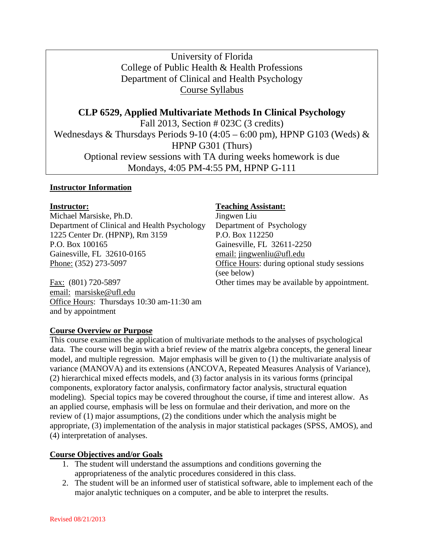University of Florida College of Public Health & Health Professions Department of Clinical and Health Psychology Course Syllabus

**CLP 6529, Applied Multivariate Methods In Clinical Psychology** Fall 2013, Section # 023C (3 credits) Wednesdays & Thursdays Periods 9-10 (4:05 – 6:00 pm), HPNP G103 (Weds) & HPNP G301 (Thurs) Optional review sessions with TA during weeks homework is due Mondays, 4:05 PM-4:55 PM, HPNP G-111

#### **Instructor Information**

Michael Marsiske, Ph.D. Jingwen Liu Department of Clinical and Health Psychology Department of Psychology 1225 Center Dr. (HPNP), Rm 3159 P.O. Box 112250 P.O. Box 100165 Gainesville, FL 32611-2250 Gainesville, FL 32610-0165 email: jingwenliu@ufl.edu Phone: (352) 273-5097 Office Hours: during optional study sessions

email: marsiske@ufl.edu Office Hours: Thursdays 10:30 am-11:30 am and by appointment

#### **Instructor: Teaching Assistant:**

(see below) Fax: (801) 720-5897 **Other times may be available by appointment.** 

#### **Course Overview or Purpose**

This course examines the application of multivariate methods to the analyses of psychological data. The course will begin with a brief review of the matrix algebra concepts, the general linear model, and multiple regression. Major emphasis will be given to (1) the multivariate analysis of variance (MANOVA) and its extensions (ANCOVA, Repeated Measures Analysis of Variance), (2) hierarchical mixed effects models, and (3) factor analysis in its various forms (principal components, exploratory factor analysis, confirmatory factor analysis, structural equation modeling). Special topics may be covered throughout the course, if time and interest allow. As an applied course, emphasis will be less on formulae and their derivation, and more on the review of (1) major assumptions, (2) the conditions under which the analysis might be appropriate, (3) implementation of the analysis in major statistical packages (SPSS, AMOS), and (4) interpretation of analyses.

## **Course Objectives and/or Goals**

- 1. The student will understand the assumptions and conditions governing the appropriateness of the analytic procedures considered in this class.
- 2. The student will be an informed user of statistical software, able to implement each of the major analytic techniques on a computer, and be able to interpret the results.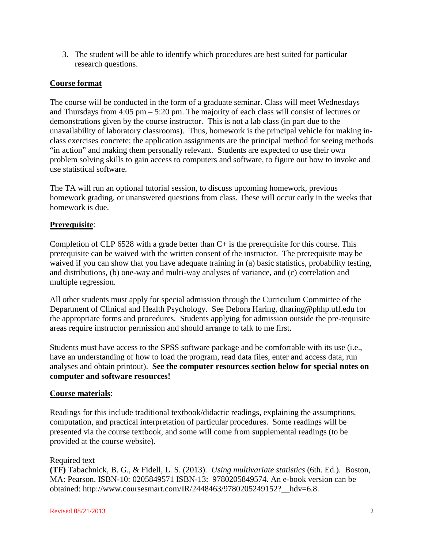3. The student will be able to identify which procedures are best suited for particular research questions.

# **Course format**

The course will be conducted in the form of a graduate seminar. Class will meet Wednesdays and Thursdays from 4:05 pm – 5:20 pm. The majority of each class will consist of lectures or demonstrations given by the course instructor. This is not a lab class (in part due to the unavailability of laboratory classrooms). Thus, homework is the principal vehicle for making inclass exercises concrete; the application assignments are the principal method for seeing methods "in action" and making them personally relevant. Students are expected to use their own problem solving skills to gain access to computers and software, to figure out how to invoke and use statistical software.

The TA will run an optional tutorial session, to discuss upcoming homework, previous homework grading, or unanswered questions from class. These will occur early in the weeks that homework is due.

# **Prerequisite**:

Completion of CLP 6528 with a grade better than  $C<sub>+</sub>$  is the prerequisite for this course. This prerequisite can be waived with the written consent of the instructor. The prerequisite may be waived if you can show that you have adequate training in (a) basic statistics, probability testing, and distributions, (b) one-way and multi-way analyses of variance, and (c) correlation and multiple regression.

All other students must apply for special admission through the Curriculum Committee of the Department of Clinical and Health Psychology. See Debora Haring, dharing@phhp.ufl.edu for the appropriate forms and procedures. Students applying for admission outside the pre-requisite areas require instructor permission and should arrange to talk to me first.

Students must have access to the SPSS software package and be comfortable with its use (i.e., have an understanding of how to load the program, read data files, enter and access data, run analyses and obtain printout). **See the computer resources section below for special notes on computer and software resources!**

## **Course materials**:

Readings for this include traditional textbook/didactic readings, explaining the assumptions, computation, and practical interpretation of particular procedures. Some readings will be presented via the course textbook, and some will come from supplemental readings (to be provided at the course website).

#### Required text

**(TF)** Tabachnick, B. G., & Fidell, L. S. (2013). *Using multivariate statistics* (6th. Ed.). Boston, MA: Pearson. ISBN-10: 0205849571 ISBN-13: 9780205849574. An e-book version can be obtained: http://www.coursesmart.com/IR/2448463/9780205249152?\_\_hdv=6.8.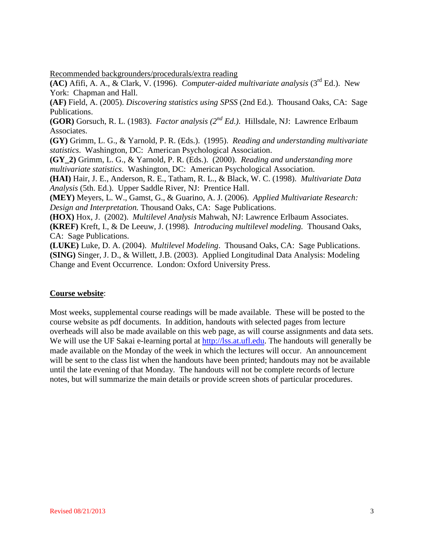Recommended backgrounders/procedurals/extra reading

**(AC)** Afifi, A. A., & Clark, V. (1996). *Computer-aided multivariate analysis* (3rd Ed.). New York: Chapman and Hall.

**(AF)** Field, A. (2005). *Discovering statistics using SPSS* (2nd Ed.). Thousand Oaks, CA: Sage Publications.

**(GOR)** Gorsuch, R. L. (1983). *Factor analysis (2nd Ed.)*. Hillsdale, NJ: Lawrence Erlbaum Associates.

**(GY)** Grimm, L. G., & Yarnold, P. R. (Eds.). (1995). *Reading and understanding multivariate statistics*. Washington, DC: American Psychological Association.

**(GY\_2)** Grimm, L. G., & Yarnold, P. R. (Eds.). (2000). *Reading and understanding more multivariate statistics*. Washington, DC: American Psychological Association.

**(HAI)** Hair, J. E., Anderson, R. E., Tatham, R. L., & Black, W. C. (1998). *Multivariate Data Analysis* (5th. Ed.). Upper Saddle River, NJ: Prentice Hall.

**(MEY)** Meyers, L. W., Gamst, G., & Guarino, A. J. (2006). *Applied Multivariate Research: Design and Interpretation.* Thousand Oaks, CA: Sage Publications.

**(HOX)** Hox, J. (2002). *Multilevel Analysis* Mahwah, NJ: Lawrence Erlbaum Associates.

**(KREF)** Kreft, I., & De Leeuw, J. (1998)*. Introducing multilevel modeling.* Thousand Oaks, CA: Sage Publications.

**(LUKE)** Luke, D. A. (2004). *Multilevel Modeling*. Thousand Oaks, CA: Sage Publications. **(SING)** Singer, J. D., & Willett, J.B. (2003). Applied Longitudinal Data Analysis: Modeling Change and Event Occurrence. London: Oxford University Press.

## **Course website**:

Most weeks, supplemental course readings will be made available. These will be posted to the course website as pdf documents. In addition, handouts with selected pages from lecture overheads will also be made available on this web page, as will course assignments and data sets. We will use the UF Sakai e-learning portal at [http://lss.at.ufl.edu.](http://lss.at.ufl.edu/) The handouts will generally be made available on the Monday of the week in which the lectures will occur. An announcement will be sent to the class list when the handouts have been printed; handouts may not be available until the late evening of that Monday. The handouts will not be complete records of lecture notes, but will summarize the main details or provide screen shots of particular procedures.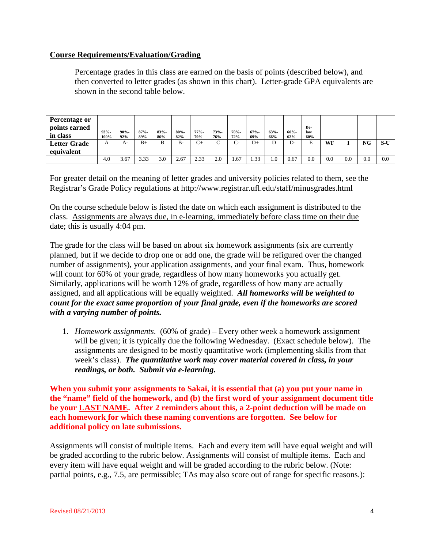# **Course Requirements/Evaluation/Grading**

Percentage grades in this class are earned on the basis of points (described below), and then converted to letter grades (as shown in this chart). Letter-grade GPA equivalents are shown in the second table below.

| Percentage or       |         |         |         |         |         |         |         |              |         |         |         |            |     |     |     |       |
|---------------------|---------|---------|---------|---------|---------|---------|---------|--------------|---------|---------|---------|------------|-----|-----|-----|-------|
| points earned       | $93% -$ | $90% -$ | $87% -$ | $83% -$ | $80% -$ | $77% -$ | $73% -$ | $70% -$      | $67% -$ | $63% -$ | $60% -$ | Be-<br>low |     |     |     |       |
| in class            | 100%    | 92%     | 89%     | 86%     | 82%     | 79%     | 76%     | 72%          | 69%     | 66%     | 62%     | 60%        |     |     |     |       |
| <b>Letter Grade</b> |         | A-      | $B+$    | B       | $B -$   | $C+$    | $\sim$  | $\sim$<br>∪− | $D+$    |         | D-      | E          | WF  |     | NG  | $S-U$ |
| equivalent          |         |         |         |         |         |         |         |              |         |         |         |            |     |     |     |       |
|                     | 4.0     | 3.67    | 3.33    | 3.0     | 2.67    | 2.33    | 2.0     | 1.67         | 1.33    |         | 0.67    | 0.0        | 0.0 | 0.0 | 0.0 | 0.0   |

For greater detail on the meaning of letter grades and university policies related to them, see the Registrar's Grade Policy regulations at http://www.registrar.ufl.edu/staff/minusgrades.html

On the course schedule below is listed the date on which each assignment is distributed to the class. Assignments are always due, in e-learning, immediately before class time on their due date; this is usually 4:04 pm.

The grade for the class will be based on about six homework assignments (six are currently planned, but if we decide to drop one or add one, the grade will be refigured over the changed number of assignments), your application assignments, and your final exam. Thus, homework will count for 60% of your grade, regardless of how many homeworks you actually get. Similarly, applications will be worth 12% of grade, regardless of how many are actually assigned, and all applications will be equally weighted. *All homeworks will be weighted to count for the exact same proportion of your final grade, even if the homeworks are scored with a varying number of points.*

1. *Homework assignments*. (60% of grade) – Every other week a homework assignment will be given; it is typically due the following Wednesday. (Exact schedule below). The assignments are designed to be mostly quantitative work (implementing skills from that week's class). *The quantitative work may cover material covered in class, in your readings, or both. Submit via e-learning.*

**When you submit your assignments to Sakai, it is essential that (a) you put your name in the "name" field of the homework, and (b) the first word of your assignment document title be your LAST NAME. After 2 reminders about this, a 2-point deduction will be made on each homework for which these naming conventions are forgotten. See below for additional policy on late submissions.**

Assignments will consist of multiple items. Each and every item will have equal weight and will be graded according to the rubric below. Assignments will consist of multiple items. Each and every item will have equal weight and will be graded according to the rubric below. (Note: partial points, e.g., 7.5, are permissible; TAs may also score out of range for specific reasons.):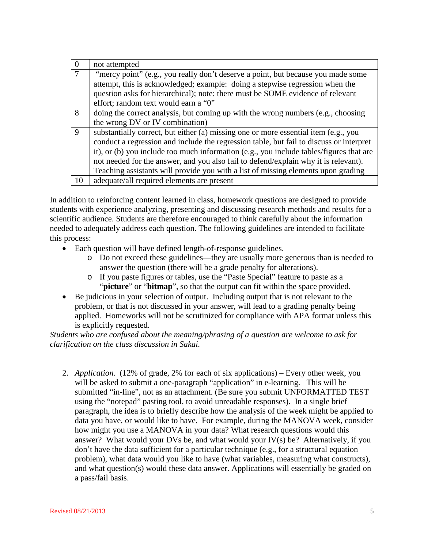| $\overline{0}$ | not attempted                                                                           |
|----------------|-----------------------------------------------------------------------------------------|
|                | "mercy point" (e.g., you really don't deserve a point, but because you made some        |
|                | attempt, this is acknowledged; example: doing a stepwise regression when the            |
|                | question asks for hierarchical); note: there must be SOME evidence of relevant          |
|                | effort; random text would earn a "0"                                                    |
| 8              | doing the correct analysis, but coming up with the wrong numbers (e.g., choosing        |
|                | the wrong DV or IV combination)                                                         |
| $\mathbf{Q}$   | substantially correct, but either (a) missing one or more essential item (e.g., you     |
|                | conduct a regression and include the regression table, but fail to discuss or interpret |
|                | it), or (b) you include too much information (e.g., you include tables/figures that are |
|                | not needed for the answer, and you also fail to defend/explain why it is relevant).     |
|                | Teaching assistants will provide you with a list of missing elements upon grading       |
| 10             | adequate/all required elements are present                                              |

In addition to reinforcing content learned in class, homework questions are designed to provide students with experience analyzing, presenting and discussing research methods and results for a scientific audience. Students are therefore encouraged to think carefully about the information needed to adequately address each question. The following guidelines are intended to facilitate this process:

- Each question will have defined length-of-response guidelines.
	- o Do not exceed these guidelines—they are usually more generous than is needed to answer the question (there will be a grade penalty for alterations).
	- o If you paste figures or tables, use the "Paste Special" feature to paste as a "**picture**" or "**bitmap**", so that the output can fit within the space provided.
- Be judicious in your selection of output. Including output that is not relevant to the problem, or that is not discussed in your answer, will lead to a grading penalty being applied. Homeworks will not be scrutinized for compliance with APA format unless this is explicitly requested.

*Students who are confused about the meaning/phrasing of a question are welcome to ask for clarification on the class discussion in Sakai.*

2. *Application.* (12% of grade, 2% for each of six applications) – Every other week, you will be asked to submit a one-paragraph "application" in e-learning. This will be submitted "in-line", not as an attachment. (Be sure you submit UNFORMATTED TEST using the "notepad" pasting tool, to avoid unreadable responses). In a single brief paragraph, the idea is to briefly describe how the analysis of the week might be applied to data you have, or would like to have. For example, during the MANOVA week, consider how might you use a MANOVA in your data? What research questions would this answer? What would your DVs be, and what would your IV(s) be? Alternatively, if you don't have the data sufficient for a particular technique (e.g., for a structural equation problem), what data would you like to have (what variables, measuring what constructs), and what question(s) would these data answer. Applications will essentially be graded on a pass/fail basis.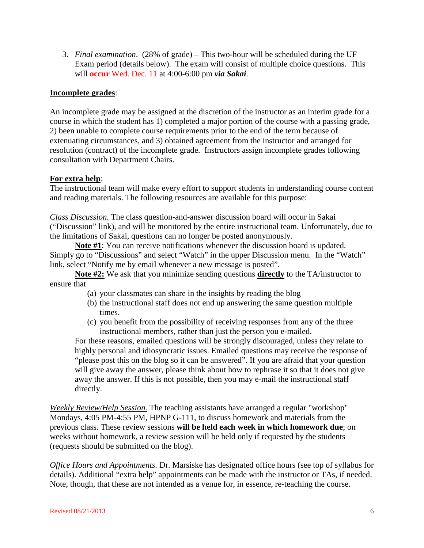3. *Final examination*. (28% of grade) – This two-hour will be scheduled during the UF Exam period (details below). The exam will consist of multiple choice questions. This will **occur** Wed. Dec. 11 at 4:00-6:00 pm *via Sakai*.

# **Incomplete grades**:

An incomplete grade may be assigned at the discretion of the instructor as an interim grade for a course in which the student has 1) completed a major portion of the course with a passing grade, 2) been unable to complete course requirements prior to the end of the term because of extenuating circumstances, and 3) obtained agreement from the instructor and arranged for resolution (contract) of the incomplete grade. Instructors assign incomplete grades following consultation with Department Chairs.

# **For extra help**:

The instructional team will make every effort to support students in understanding course content and reading materials. The following resources are available for this purpose:

*Class Discussion.* The class question-and-answer discussion board will occur in Sakai ("Discussion" link), and will be monitored by the entire instructional team. Unfortunately, due to the limitations of Sakai, questions can no longer be posted anonymously.

**Note #1**: You can receive notifications whenever the discussion board is updated. Simply go to "Discussions" and select "Watch" in the upper Discussion menu. In the "Watch" link, select "Notify me by email whenever a new message is posted".

**Note #2:** We ask that you minimize sending questions **directly** to the TA/instructor to ensure that

- (a) your classmates can share in the insights by reading the blog
- (b) the instructional staff does not end up answering the same question multiple times.
- (c) you benefit from the possibility of receiving responses from any of the three instructional members, rather than just the person you e-mailed.

For these reasons, emailed questions will be strongly discouraged, unless they relate to highly personal and idiosyncratic issues. Emailed questions may receive the response of "please post this on the blog so it can be answered". If you are afraid that your question will give away the answer, please think about how to rephrase it so that it does not give away the answer. If this is not possible, then you may e-mail the instructional staff directly.

*Weekly Review/Help Session.* The teaching assistants have arranged a regular "workshop" Mondays, 4:05 PM-4:55 PM, HPNP G-111, to discuss homework and materials from the previous class. These review sessions **will be held each week in which homework due**; on weeks without homework, a review session will be held only if requested by the students (requests should be submitted on the blog).

*Office Hours and Appointments.* Dr. Marsiske has designated office hours (see top of syllabus for details). Additional "extra help" appointments can be made with the instructor or TAs, if needed. Note, though, that these are not intended as a venue for, in essence, re-teaching the course.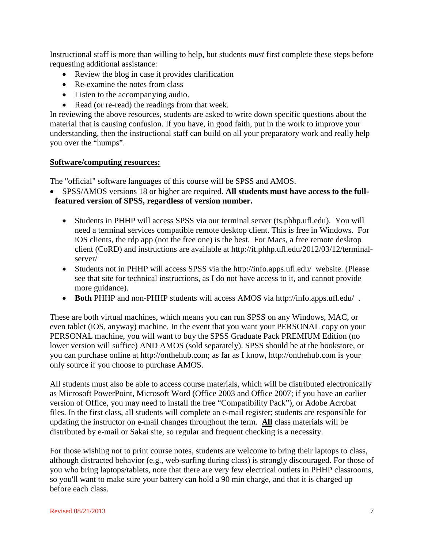Instructional staff is more than willing to help, but students *must* first complete these steps before requesting additional assistance:

- Review the blog in case it provides clarification
- Re-examine the notes from class
- Listen to the accompanying audio.
- Read (or re-read) the readings from that week.

In reviewing the above resources, students are asked to write down specific questions about the material that is causing confusion. If you have, in good faith, put in the work to improve your understanding, then the instructional staff can build on all your preparatory work and really help you over the "humps".

## **Software/computing resources:**

The "official" software languages of this course will be SPSS and AMOS.

- SPSS/AMOS versions 18 or higher are required. **All students must have access to the fullfeatured version of SPSS, regardless of version number.**
	- Students in PHHP will access SPSS via our terminal server (ts.phhp.ufl.edu). You will need a terminal services compatible remote desktop client. This is free in Windows. For iOS clients, the rdp app (not the free one) is the best. For Macs, a free remote desktop client (CoRD) and instructions are available at http://it.phhp.ufl.edu/2012/03/12/terminalserver/
	- Students not in PHHP will access SPSS via the http://info.apps.ufl.edu/ website. (Please see that site for technical instructions, as I do not have access to it, and cannot provide more guidance).
	- **Both** PHHP and non-PHHP students will access AMOS via http://info.apps.ufl.edu/ .

These are both virtual machines, which means you can run SPSS on any Windows, MAC, or even tablet (iOS, anyway) machine. In the event that you want your PERSONAL copy on your PERSONAL machine, you will want to buy the SPSS Graduate Pack PREMIUM Edition (no lower version will suffice) AND AMOS (sold separately). SPSS should be at the bookstore, or you can purchase online at http://onthehub.com; as far as I know, http://onthehub.com is your only source if you choose to purchase AMOS.

All students must also be able to access course materials, which will be distributed electronically as Microsoft PowerPoint, Microsoft Word (Office 2003 and Office 2007; if you have an earlier version of Office, you may need to install the free "Compatibility Pack"), or Adobe Acrobat files. In the first class, all students will complete an e-mail register; students are responsible for updating the instructor on e-mail changes throughout the term. **All** class materials will be distributed by e-mail or Sakai site, so regular and frequent checking is a necessity.

For those wishing not to print course notes, students are welcome to bring their laptops to class, although distracted behavior (e.g., web-surfing during class) is strongly discouraged. For those of you who bring laptops/tablets, note that there are very few electrical outlets in PHHP classrooms, so you'll want to make sure your battery can hold a 90 min charge, and that it is charged up before each class.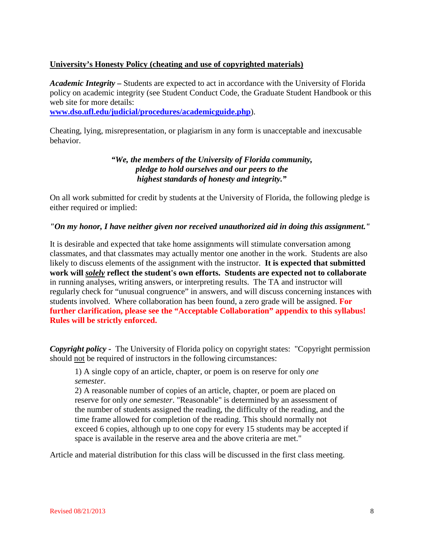# **University's Honesty Policy (cheating and use of copyrighted materials)**

*Academic Integrity –* Students are expected to act in accordance with the University of Florida policy on academic integrity (see Student Conduct Code, the Graduate Student Handbook or this web site for more details:

**[www.dso.ufl.edu/judicial/procedures/academicguide.php](http://www.dso.ufl.edu/judicial/procedures/academicguide.php)**).

Cheating, lying, misrepresentation, or plagiarism in any form is unacceptable and inexcusable behavior.

> *"We, the members of the University of Florida community, pledge to hold ourselves and our peers to the highest standards of honesty and integrity."*

On all work submitted for credit by students at the University of Florida, the following pledge is either required or implied:

# *"On my honor, I have neither given nor received unauthorized aid in doing this assignment."*

It is desirable and expected that take home assignments will stimulate conversation among classmates, and that classmates may actually mentor one another in the work. Students are also likely to discuss elements of the assignment with the instructor. **It is expected that submitted work will** *solely* **reflect the student's own efforts. Students are expected not to collaborate** in running analyses, writing answers, or interpreting results. The TA and instructor will regularly check for "unusual congruence" in answers, and will discuss concerning instances with students involved. Where collaboration has been found, a zero grade will be assigned. **For further clarification, please see the "Acceptable Collaboration" appendix to this syllabus! Rules will be strictly enforced.**

*Copyright policy -* The University of Florida policy on copyright states: "Copyright permission should not be required of instructors in the following circumstances:

1) A single copy of an article, chapter, or poem is on reserve for only *one semester*.

2) A reasonable number of copies of an article, chapter, or poem are placed on reserve for only *one semester*. "Reasonable" is determined by an assessment of the number of students assigned the reading, the difficulty of the reading, and the time frame allowed for completion of the reading. This should normally not exceed 6 copies, although up to one copy for every 15 students may be accepted if space is available in the reserve area and the above criteria are met."

Article and material distribution for this class will be discussed in the first class meeting.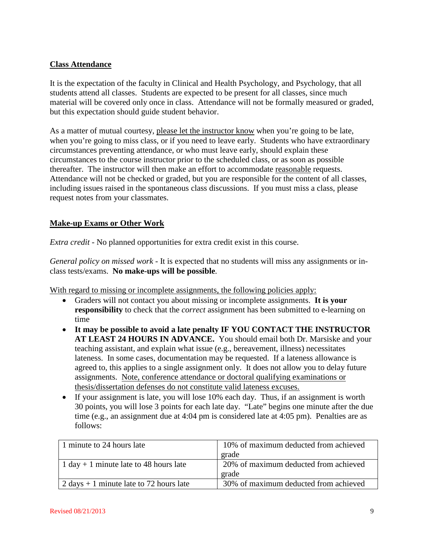# **Class Attendance**

It is the expectation of the faculty in Clinical and Health Psychology, and Psychology, that all students attend all classes. Students are expected to be present for all classes, since much material will be covered only once in class. Attendance will not be formally measured or graded, but this expectation should guide student behavior.

As a matter of mutual courtesy, please let the instructor know when you're going to be late, when you're going to miss class, or if you need to leave early. Students who have extraordinary circumstances preventing attendance, or who must leave early, should explain these circumstances to the course instructor prior to the scheduled class, or as soon as possible thereafter. The instructor will then make an effort to accommodate reasonable requests. Attendance will not be checked or graded, but you are responsible for the content of all classes, including issues raised in the spontaneous class discussions. If you must miss a class, please request notes from your classmates.

# **Make-up Exams or Other Work**

*Extra credit* - No planned opportunities for extra credit exist in this course.

*General policy on missed work* - It is expected that no students will miss any assignments or inclass tests/exams. **No make-ups will be possible**.

With regard to missing or incomplete assignments, the following policies apply:

- Graders will not contact you about missing or incomplete assignments. **It is your responsibility** to check that the *correct* assignment has been submitted to e-learning on time
- **It may be possible to avoid a late penalty IF YOU CONTACT THE INSTRUCTOR AT LEAST 24 HOURS IN ADVANCE.** You should email both Dr. Marsiske and your teaching assistant, and explain what issue (e.g., bereavement, illness) necessitates lateness. In some cases, documentation may be requested. If a lateness allowance is agreed to, this applies to a single assignment only. It does not allow you to delay future assignments. Note, conference attendance or doctoral qualifying examinations or thesis/dissertation defenses do not constitute valid lateness excuses.
- If your assignment is late, you will lose 10% each day. Thus, if an assignment is worth 30 points, you will lose 3 points for each late day. "Late" begins one minute after the due time (e.g., an assignment due at 4:04 pm is considered late at 4:05 pm). Penalties are as follows:

| 1 minute to 24 hours late                 | 10% of maximum deducted from achieved |
|-------------------------------------------|---------------------------------------|
|                                           | grade                                 |
| 1 day $+$ 1 minute late to 48 hours late  | 20% of maximum deducted from achieved |
|                                           | grade                                 |
| 2 days $+ 1$ minute late to 72 hours late | 30% of maximum deducted from achieved |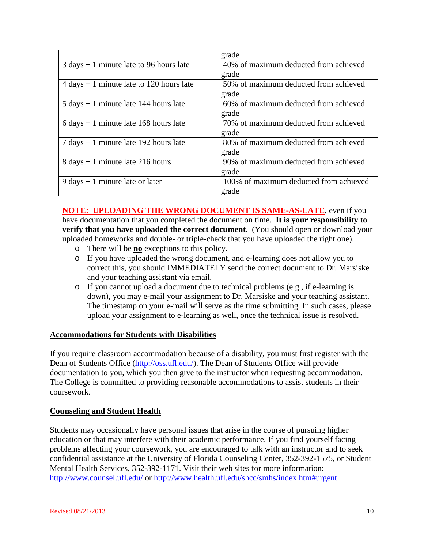|                                                            | grade                                               |
|------------------------------------------------------------|-----------------------------------------------------|
| $3 \text{ days} + 1 \text{ minute}$ late to 96 hours late  | $\overline{40\%}$ of maximum deducted from achieved |
|                                                            | grade                                               |
| $4 \text{ days} + 1 \text{ minute}$ late to 120 hours late | 50% of maximum deducted from achieved               |
|                                                            | grade                                               |
| $5 \text{ days} + 1 \text{ minute}$ late 144 hours late    | 60% of maximum deducted from achieved               |
|                                                            | grade                                               |
| $6 \text{ days} + 1 \text{ minute}$ late 168 hours late    | 70% of maximum deducted from achieved               |
|                                                            | grade                                               |
| $7 \text{ days} + 1 \text{ minute}$ late 192 hours late    | 80% of maximum deducted from achieved               |
|                                                            | grade                                               |
| $8 \text{ days} + 1 \text{ minute}$ late 216 hours         | 90% of maximum deducted from achieved               |
|                                                            | grade                                               |
| $9 \text{ days} + 1 \text{ minute}$ late or later          | 100% of maximum deducted from achieved              |
|                                                            | grade                                               |

**NOTE: UPLOADING THE WRONG DOCUMENT IS SAME-AS-LATE**, even if you have documentation that you completed the document on time. **It is your responsibility to verify that you have uploaded the correct document.** (You should open or download your uploaded homeworks and double- or triple-check that you have uploaded the right one).

- o There will be **no** exceptions to this policy.
- o If you have uploaded the wrong document, and e-learning does not allow you to correct this, you should IMMEDIATELY send the correct document to Dr. Marsiske and your teaching assistant via email.
- o If you cannot upload a document due to technical problems (e.g., if e-learning is down), you may e-mail your assignment to Dr. Marsiske and your teaching assistant. The timestamp on your e-mail will serve as the time submitting. In such cases, please upload your assignment to e-learning as well, once the technical issue is resolved.

# **Accommodations for Students with Disabilities**

If you require classroom accommodation because of a disability, you must first register with the Dean of Students Office [\(http://oss.ufl.edu/\)](http://oss.ufl.edu/). The Dean of Students Office will provide documentation to you, which you then give to the instructor when requesting accommodation. The College is committed to providing reasonable accommodations to assist students in their coursework.

## **Counseling and Student Health**

Students may occasionally have personal issues that arise in the course of pursuing higher education or that may interfere with their academic performance. If you find yourself facing problems affecting your coursework, you are encouraged to talk with an instructor and to seek confidential assistance at the University of Florida Counseling Center, 352-392-1575, or Student Mental Health Services, 352-392-1171. Visit their web sites for more information: <http://www.counsel.ufl.edu/> or<http://www.health.ufl.edu/shcc/smhs/index.htm#urgent>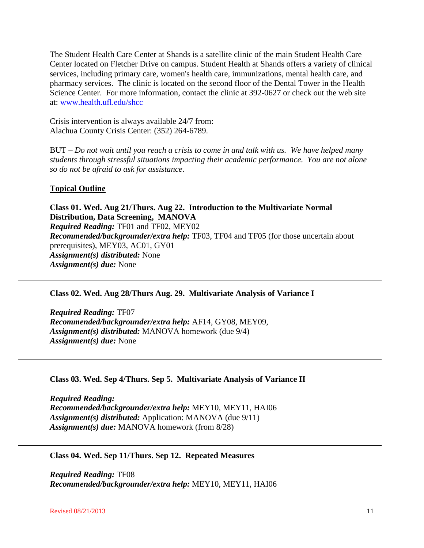The Student Health Care Center at Shands is a satellite clinic of the main Student Health Care Center located on Fletcher Drive on campus. Student Health at Shands offers a variety of clinical services, including primary care, women's health care, immunizations, mental health care, and pharmacy services. The clinic is located on the second floor of the Dental Tower in the Health Science Center. For more information, contact the clinic at 392-0627 or check out the web site at: [www.health.ufl.edu/shcc](http://www.health.ufl.edu/shcc)

Crisis intervention is always available 24/7 from: Alachua County Crisis Center: (352) 264-6789.

BUT – *Do not wait until you reach a crisis to come in and talk with us. We have helped many students through stressful situations impacting their academic performance. You are not alone so do not be afraid to ask for assistance*.

## **Topical Outline**

**Class 01. Wed. Aug 21/Thurs. Aug 22. Introduction to the Multivariate Normal Distribution, Data Screening, MANOVA** *Required Reading:* TF01 and TF02, MEY02 *Recommended/backgrounder/extra help:* TF03, TF04 and TF05 (for those uncertain about prerequisites), MEY03, AC01, GY01 *Assignment(s) distributed:* None *Assignment(s) due:* None

## **Class 02. Wed. Aug 28/Thurs Aug. 29. Multivariate Analysis of Variance I**

*Required Reading:* TF07 *Recommended/backgrounder/extra help:* AF14, GY08, MEY09, *Assignment(s) distributed:* MANOVA homework (due 9/4) *Assignment(s) due:* None

## **Class 03. Wed. Sep 4/Thurs. Sep 5. Multivariate Analysis of Variance II**

*Required Reading: Recommended/backgrounder/extra help:* MEY10, MEY11, HAI06 *Assignment(s) distributed:* Application: MANOVA (due 9/11) *Assignment(s) due:* MANOVA homework (from 8/28)

## **Class 04. Wed. Sep 11/Thurs. Sep 12. Repeated Measures**

*Required Reading:* TF08 *Recommended/backgrounder/extra help:* MEY10, MEY11, HAI06

**Revised 08/21/2013** 11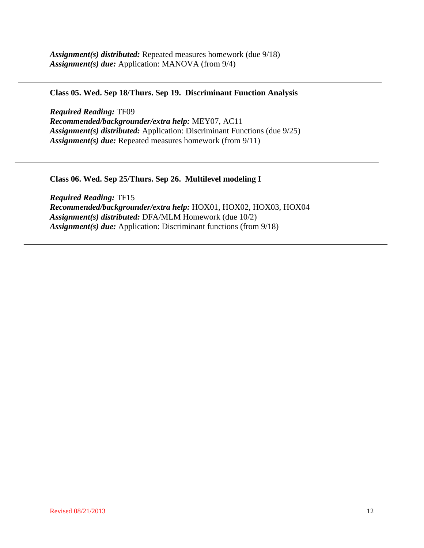## **Class 05. Wed. Sep 18/Thurs. Sep 19. Discriminant Function Analysis**

*Required Reading:* TF09 *Recommended/backgrounder/extra help:* MEY07, AC11 *Assignment(s) distributed:* Application: Discriminant Functions (due 9/25) *Assignment(s) due:* Repeated measures homework (from 9/11)

**Class 06. Wed. Sep 25/Thurs. Sep 26. Multilevel modeling I**

*Required Reading:* TF15 *Recommended/backgrounder/extra help:* HOX01, HOX02, HOX03, HOX04 *Assignment(s) distributed:* DFA/MLM Homework (due 10/2) *Assignment(s) due:* Application: Discriminant functions (from 9/18)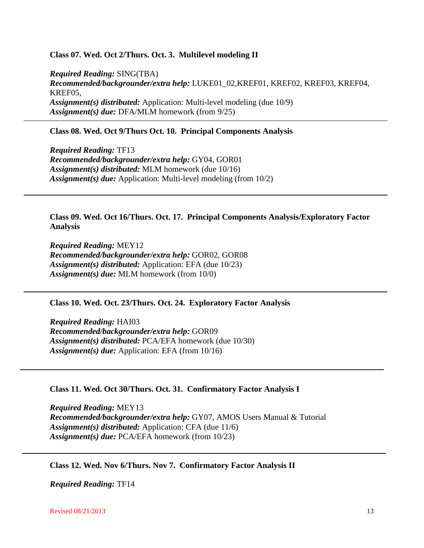#### **Class 07. Wed. Oct 2/Thurs. Oct. 3. Multilevel modeling II**

*Required Reading:* SING(TBA) *Recommended/backgrounder/extra help:* LUKE01\_02,KREF01, KREF02, KREF03, KREF04, KREF05, *Assignment(s) distributed:* Application: Multi-level modeling (due 10/9) *Assignment(s) due:* DFA/MLM homework (from 9/25)

#### **Class 08. Wed. Oct 9/Thurs Oct. 10. Principal Components Analysis**

*Required Reading:* TF13 *Recommended/backgrounder/extra help:* GY04, GOR01 *Assignment(s) distributed:* MLM homework (due 10/16) *Assignment(s) due:* Application: Multi-level modeling (from 10/2)

#### **Class 09. Wed. Oct 16/Thurs. Oct. 17. Principal Components Analysis/Exploratory Factor Analysis**

*Required Reading:* MEY12 *Recommended/backgrounder/extra help:* GOR02, GOR08 *Assignment(s) distributed:* Application: EFA (due 10/23) *Assignment(s) due:* MLM homework (from 10/0)

#### **Class 10. Wed. Oct. 23/Thurs. Oct. 24. Exploratory Factor Analysis**

*Required Reading:* HAI03 *Recommended/backgrounder/extra help:* GOR09 *Assignment(s) distributed:* PCA/EFA homework (due 10/30) *Assignment(s) due:* Application: EFA (from 10/16)

#### **Class 11. Wed. Oct 30/Thurs. Oct. 31. Confirmatory Factor Analysis I**

*Required Reading:* MEY13 *Recommended/backgrounder/extra help:* GY07, AMOS Users Manual & Tutorial *Assignment(s) distributed:* Application: CFA (due 11/6) *Assignment(s) due:* PCA/EFA homework (from 10/23)

**Class 12. Wed. Nov 6/Thurs. Nov 7. Confirmatory Factor Analysis II**

*Required Reading:* TF14

**Revised 08/21/2013** 13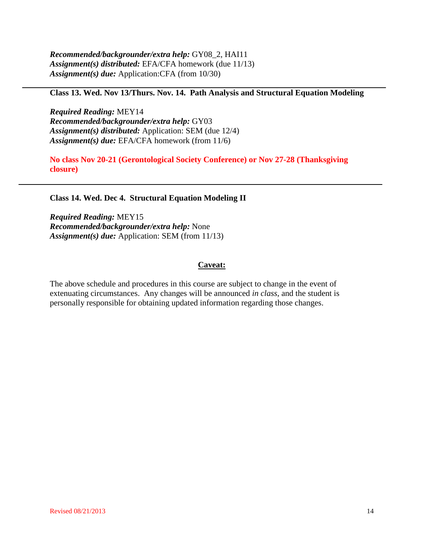*Recommended/backgrounder/extra help:* GY08\_2, HAI11 *Assignment(s) distributed:* EFA/CFA homework (due 11/13) *Assignment(s) due:* Application:CFA (from 10/30)

## **Class 13. Wed. Nov 13/Thurs. Nov. 14. Path Analysis and Structural Equation Modeling**

*Required Reading:* MEY14 *Recommended/backgrounder/extra help:* GY03 *Assignment(s) distributed:* Application: SEM (due 12/4) *Assignment(s) due:* EFA/CFA homework (from 11/6)

**No class Nov 20-21 (Gerontological Society Conference) or Nov 27-28 (Thanksgiving closure)**

#### **Class 14. Wed. Dec 4. Structural Equation Modeling II**

*Required Reading:* MEY15 *Recommended/backgrounder/extra help:* None *Assignment(s) due:* Application: SEM (from 11/13)

#### **Caveat:**

The above schedule and procedures in this course are subject to change in the event of extenuating circumstances. Any changes will be announced *in class*, and the student is personally responsible for obtaining updated information regarding those changes.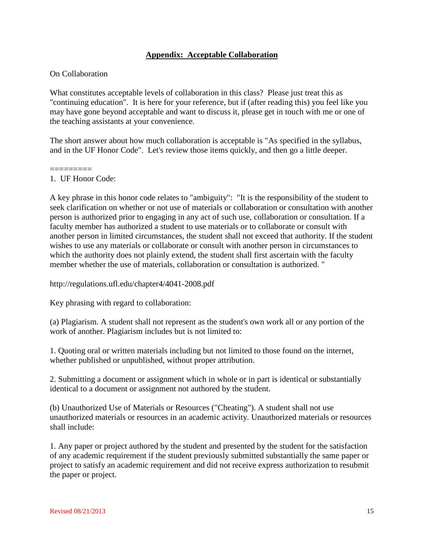# **Appendix: Acceptable Collaboration**

#### On Collaboration

What constitutes acceptable levels of collaboration in this class? Please just treat this as "continuing education". It is here for your reference, but if (after reading this) you feel like you may have gone beyond acceptable and want to discuss it, please get in touch with me or one of the teaching assistants at your convenience.

The short answer about how much collaboration is acceptable is "As specified in the syllabus, and in the UF Honor Code". Let's review those items quickly, and then go a little deeper.

#### ========= 1. UF Honor Code:

A key phrase in this honor code relates to "ambiguity": "It is the responsibility of the student to seek clarification on whether or not use of materials or collaboration or consultation with another person is authorized prior to engaging in any act of such use, collaboration or consultation. If a faculty member has authorized a student to use materials or to collaborate or consult with another person in limited circumstances, the student shall not exceed that authority. If the student wishes to use any materials or collaborate or consult with another person in circumstances to which the authority does not plainly extend, the student shall first ascertain with the faculty member whether the use of materials, collaboration or consultation is authorized. "

http://regulations.ufl.edu/chapter4/4041-2008.pdf

Key phrasing with regard to collaboration:

(a) Plagiarism. A student shall not represent as the student's own work all or any portion of the work of another. Plagiarism includes but is not limited to:

1. Quoting oral or written materials including but not limited to those found on the internet, whether published or unpublished, without proper attribution.

2. Submitting a document or assignment which in whole or in part is identical or substantially identical to a document or assignment not authored by the student.

(b) Unauthorized Use of Materials or Resources ("Cheating"). A student shall not use unauthorized materials or resources in an academic activity. Unauthorized materials or resources shall include:

1. Any paper or project authored by the student and presented by the student for the satisfaction of any academic requirement if the student previously submitted substantially the same paper or project to satisfy an academic requirement and did not receive express authorization to resubmit the paper or project.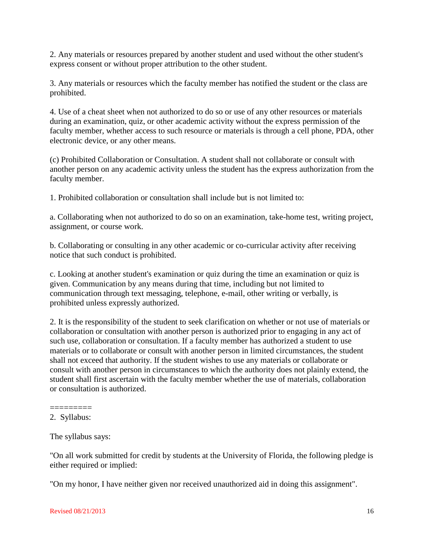2. Any materials or resources prepared by another student and used without the other student's express consent or without proper attribution to the other student.

3. Any materials or resources which the faculty member has notified the student or the class are prohibited.

4. Use of a cheat sheet when not authorized to do so or use of any other resources or materials during an examination, quiz, or other academic activity without the express permission of the faculty member, whether access to such resource or materials is through a cell phone, PDA, other electronic device, or any other means.

(c) Prohibited Collaboration or Consultation. A student shall not collaborate or consult with another person on any academic activity unless the student has the express authorization from the faculty member.

1. Prohibited collaboration or consultation shall include but is not limited to:

a. Collaborating when not authorized to do so on an examination, take-home test, writing project, assignment, or course work.

b. Collaborating or consulting in any other academic or co-curricular activity after receiving notice that such conduct is prohibited.

c. Looking at another student's examination or quiz during the time an examination or quiz is given. Communication by any means during that time, including but not limited to communication through text messaging, telephone, e-mail, other writing or verbally, is prohibited unless expressly authorized.

2. It is the responsibility of the student to seek clarification on whether or not use of materials or collaboration or consultation with another person is authorized prior to engaging in any act of such use, collaboration or consultation. If a faculty member has authorized a student to use materials or to collaborate or consult with another person in limited circumstances, the student shall not exceed that authority. If the student wishes to use any materials or collaborate or consult with another person in circumstances to which the authority does not plainly extend, the student shall first ascertain with the faculty member whether the use of materials, collaboration or consultation is authorized.

"On all work submitted for credit by students at the University of Florida, the following pledge is either required or implied:

"On my honor, I have neither given nor received unauthorized aid in doing this assignment".

<sup>=========</sup> 2. Syllabus:

The syllabus says: